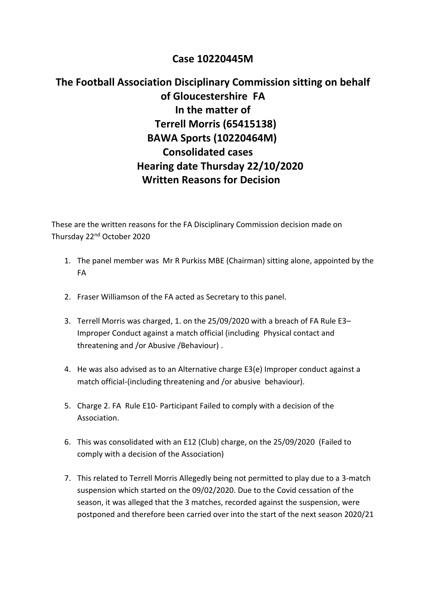## **Case 10220445M**

## **The Football Association Disciplinary Commission sitting on behalf of Gloucestershire FA In the matter of Terrell Morris (65415138) BAWA Sports (10220464M) Consolidated cases Hearing date Thursday 22/10/2020 Written Reasons for Decision**

These are the written reasons for the FA Disciplinary Commission decision made on Thursday 22nd October 2020

- 1. The panel member was Mr R Purkiss MBE (Chairman) sitting alone, appointed by the FA
- 2. Fraser Williamson of the FA acted as Secretary to this panel.
- 3. Terrell Morris was charged, 1. on the 25/09/2020 with a breach of FA Rule E3– Improper Conduct against a match official (including Physical contact and threatening and /or Abusive /Behaviour) .
- 4. He was also advised as to an Alternative charge E3(e) Improper conduct against a match official-(including threatening and /or abusive behaviour).
- 5. Charge 2. FA Rule E10- Participant Failed to comply with a decision of the Association.
- 6. This was consolidated with an E12 (Club) charge, on the 25/09/2020 (Failed to comply with a decision of the Association)
- 7. This related to Terrell Morris Allegedly being not permitted to play due to a 3-match suspension which started on the 09/02/2020. Due to the Covid cessation of the season, it was alleged that the 3 matches, recorded against the suspension, were postponed and therefore been carried over into the start of the next season 2020/21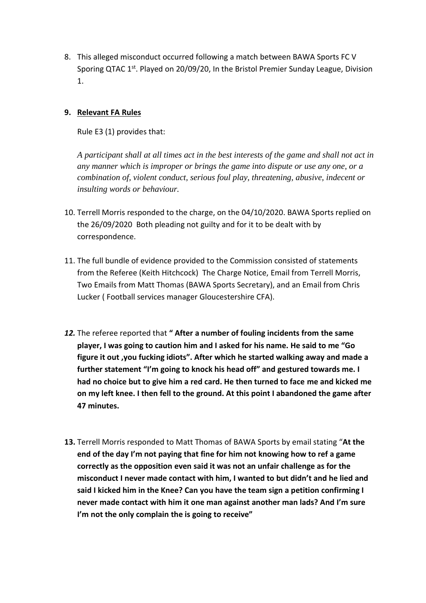8. This alleged misconduct occurred following a match between BAWA Sports FC V Sporing QTAC 1<sup>st</sup>. Played on 20/09/20, In the Bristol Premier Sunday League, Division 1.

## **9. Relevant FA Rules**

Rule E3 (1) provides that:

*A participant shall at all times act in the best interests of the game and shall not act in any manner which is improper or brings the game into dispute or use any one, or a combination of, violent conduct, serious foul play, threatening, abusive, indecent or insulting words or behaviour.*

- 10. Terrell Morris responded to the charge, on the 04/10/2020. BAWA Sports replied on the 26/09/2020 Both pleading not guilty and for it to be dealt with by correspondence.
- 11. The full bundle of evidence provided to the Commission consisted of statements from the Referee (Keith Hitchcock) The Charge Notice, Email from Terrell Morris, Two Emails from Matt Thomas (BAWA Sports Secretary), and an Email from Chris Lucker ( Football services manager Gloucestershire CFA).
- *12.* The referee reported that **" After a number of fouling incidents from the same player, I was going to caution him and I asked for his name. He said to me "Go figure it out ,you fucking idiots". After which he started walking away and made a further statement "I'm going to knock his head off" and gestured towards me. I had no choice but to give him a red card. He then turned to face me and kicked me on my left knee. I then fell to the ground. At this point I abandoned the game after 47 minutes.**
- **13.** Terrell Morris responded to Matt Thomas of BAWA Sports by email stating "**At the end of the day I'm not paying that fine for him not knowing how to ref a game correctly as the opposition even said it was not an unfair challenge as for the misconduct I never made contact with him, I wanted to but didn't and he lied and said I kicked him in the Knee? Can you have the team sign a petition confirming I never made contact with him it one man against another man lads? And I'm sure I'm not the only complain the is going to receive"**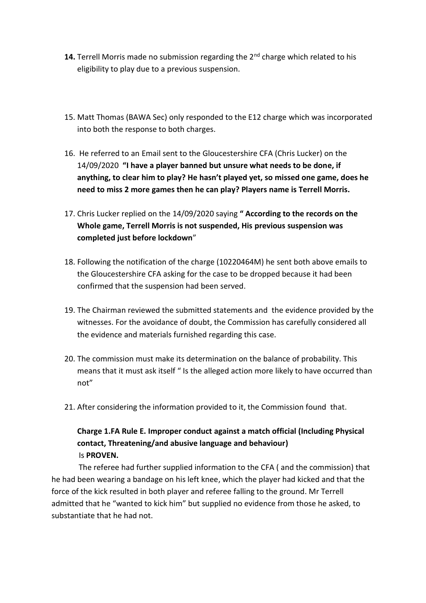- 14. Terrell Morris made no submission regarding the 2<sup>nd</sup> charge which related to his eligibility to play due to a previous suspension.
- 15. Matt Thomas (BAWA Sec) only responded to the E12 charge which was incorporated into both the response to both charges.
- 16. He referred to an Email sent to the Gloucestershire CFA (Chris Lucker) on the 14/09/2020 **"I have a player banned but unsure what needs to be done, if anything, to clear him to play? He hasn't played yet, so missed one game, does he need to miss 2 more games then he can play? Players name is Terrell Morris.**
- 17. Chris Lucker replied on the 14/09/2020 saying **" According to the records on the Whole game, Terrell Morris is not suspended, His previous suspension was completed just before lockdown**"
- 18. Following the notification of the charge (10220464M) he sent both above emails to the Gloucestershire CFA asking for the case to be dropped because it had been confirmed that the suspension had been served.
- 19. The Chairman reviewed the submitted statements and the evidence provided by the witnesses. For the avoidance of doubt, the Commission has carefully considered all the evidence and materials furnished regarding this case.
- 20. The commission must make its determination on the balance of probability. This means that it must ask itself " Is the alleged action more likely to have occurred than not"
- 21. After considering the information provided to it, the Commission found that.

## **Charge 1.FA Rule E. Improper conduct against a match official (Including Physical contact, Threatening/and abusive language and behaviour)** Is **PROVEN.**

The referee had further supplied information to the CFA ( and the commission) that he had been wearing a bandage on his left knee, which the player had kicked and that the force of the kick resulted in both player and referee falling to the ground. Mr Terrell admitted that he "wanted to kick him" but supplied no evidence from those he asked, to substantiate that he had not.